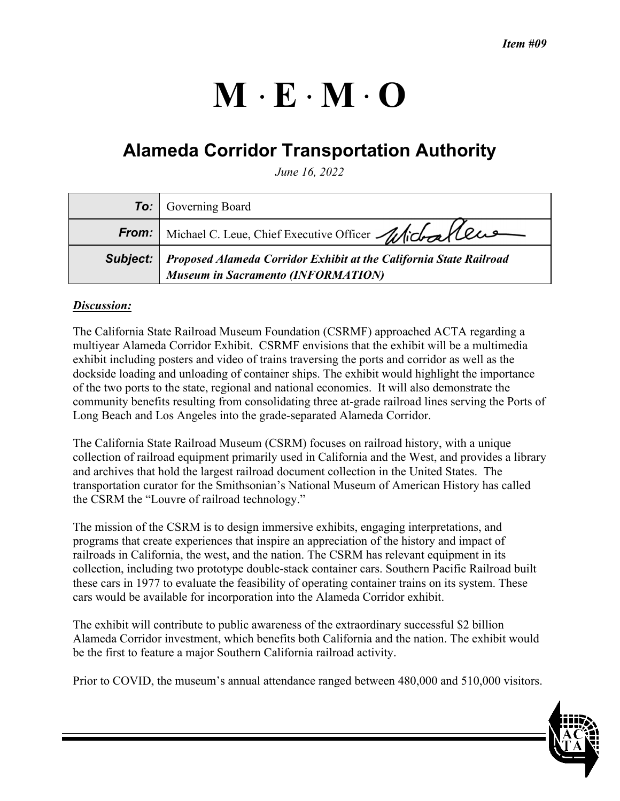# $M \cdot E \cdot M \cdot O$

# **Alameda Corridor Transportation Authority**

*June 16, 2022* 

|          | <b>To:</b> Governing Board                                                                                      |
|----------|-----------------------------------------------------------------------------------------------------------------|
|          | From: Michael C. Leue, Chief Executive Officer Michaelleus                                                      |
| Subject: | Proposed Alameda Corridor Exhibit at the California State Railroad<br><b>Museum in Sacramento (INFORMATION)</b> |

## *Discussion:*

The California State Railroad Museum Foundation (CSRMF) approached ACTA regarding a multiyear Alameda Corridor Exhibit. CSRMF envisions that the exhibit will be a multimedia exhibit including posters and video of trains traversing the ports and corridor as well as the dockside loading and unloading of container ships. The exhibit would highlight the importance of the two ports to the state, regional and national economies. It will also demonstrate the community benefits resulting from consolidating three at-grade railroad lines serving the Ports of Long Beach and Los Angeles into the grade-separated Alameda Corridor.

The California State Railroad Museum (CSRM) focuses on railroad history, with a unique collection of railroad equipment primarily used in California and the West, and provides a library and archives that hold the largest railroad document collection in the United States. The transportation curator for the Smithsonian's National Museum of American History has called the CSRM the "Louvre of railroad technology."

The mission of the CSRM is to design immersive exhibits, engaging interpretations, and programs that create experiences that inspire an appreciation of the history and impact of railroads in California, the west, and the nation. The CSRM has relevant equipment in its collection, including two prototype double-stack container cars. Southern Pacific Railroad built these cars in 1977 to evaluate the feasibility of operating container trains on its system. These cars would be available for incorporation into the Alameda Corridor exhibit.

The exhibit will contribute to public awareness of the extraordinary successful \$2 billion Alameda Corridor investment, which benefits both California and the nation. The exhibit would be the first to feature a major Southern California railroad activity.

Prior to COVID, the museum's annual attendance ranged between 480,000 and 510,000 visitors.